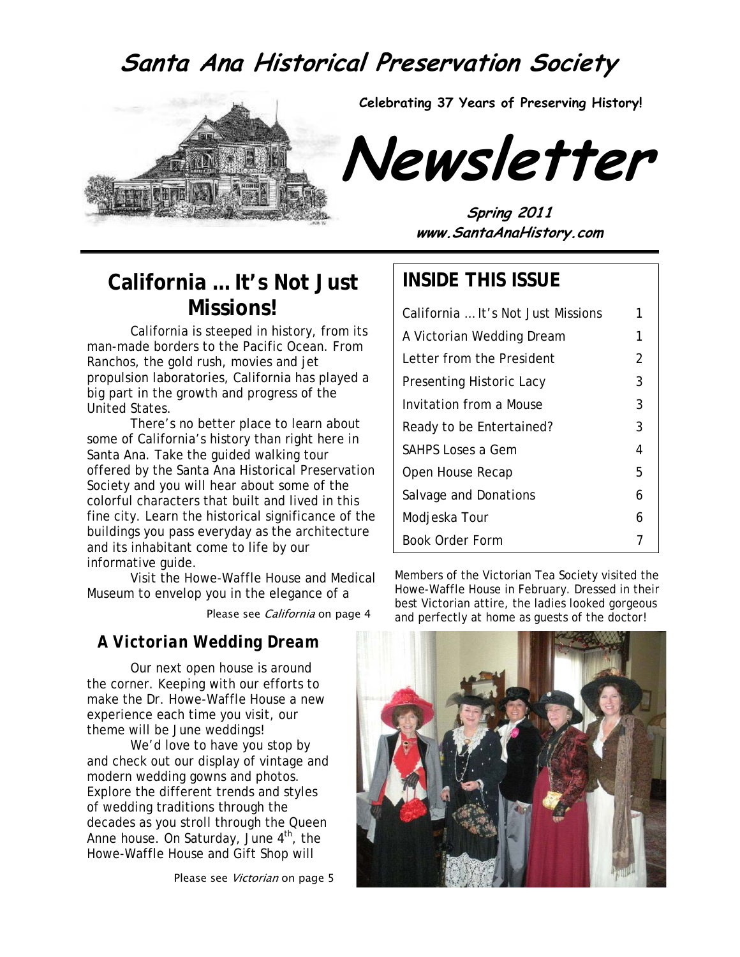# **Santa Ana Historical Preservation Society**



**Celebrating 37 Years of Preserving History!** 



**Spring 2011 www.SantaAnaHistory.com**

### **California … It's Not Just Missions!**

California is steeped in history, from its man-made borders to the Pacific Ocean. From Ranchos, the gold rush, movies and jet propulsion laboratories, California has played a big part in the growth and progress of the United States.

There's no better place to learn about some of California's history than right here in Santa Ana. Take the guided walking tour offered by the Santa Ana Historical Preservation Society and you will hear about some of the colorful characters that built and lived in this fine city. Learn the historical significance of the buildings you pass everyday as the architecture and its inhabitant come to life by our informative guide.

Visit the Howe-Waffle House and Medical Museum to envelop you in the elegance of a

Please see California on page 4

### *A Victorian Wedding Dream*

Our next open house is around the corner. Keeping with our efforts to make the Dr. Howe-Waffle House a new experience each time you visit, our theme will be June weddings!

We'd love to have you stop by and check out our display of vintage and modern wedding gowns and photos. Explore the different trends and styles of wedding traditions through the decades as you stroll through the Queen Anne house. On Saturday, June  $4<sup>th</sup>$ , the Howe-Waffle House and Gift Shop will

Please see Victorian on page 5

### **INSIDE THIS ISSUE**

| California  It's Not Just Missions | 1 |
|------------------------------------|---|
| A Victorian Wedding Dream          | 1 |
| Letter from the President          | 2 |
| Presenting Historic Lacy           | 3 |
| Invitation from a Mouse            | 3 |
| Ready to be Entertained?           | 3 |
| <b>SAHPS Loses a Gem</b>           | 4 |
| Open House Recap                   | 5 |
| Salvage and Donations              | 6 |
| Modjeska Tour                      | 6 |
| Book Order Form                    |   |

Members of the Victorian Tea Society visited the Howe-Waffle House in February. Dressed in their best Victorian attire, the ladies looked gorgeous and perfectly at home as guests of the doctor!

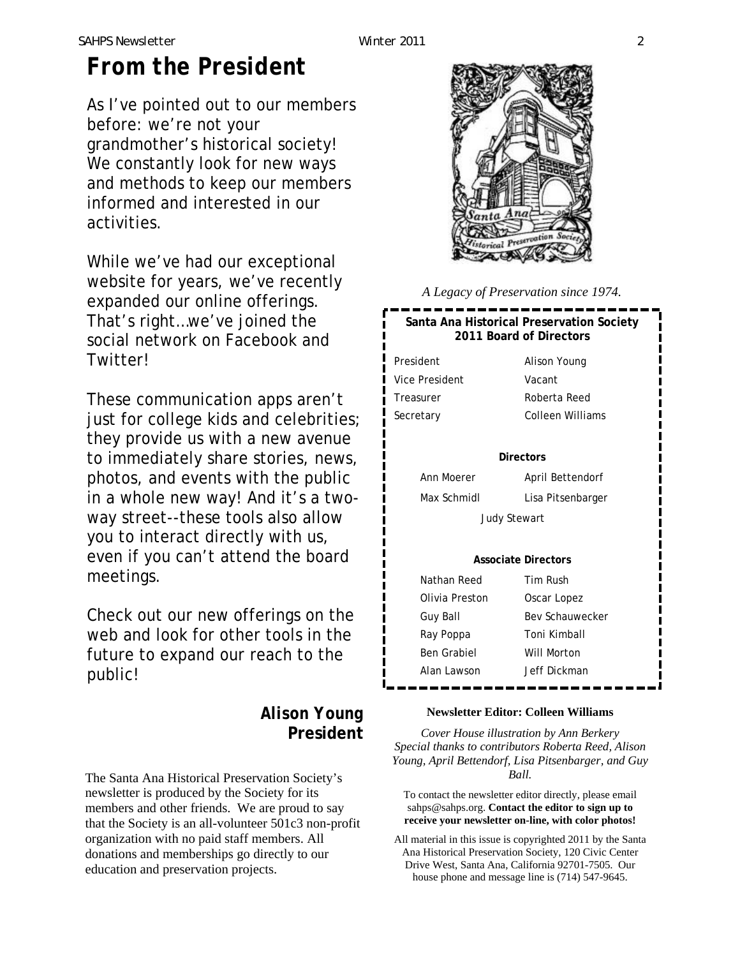### *SAHPS Newsletter Winter 2011 2*

# *From the President*

As I've pointed out to our members before: we're not your grandmother's historical society! We constantly look for new ways and methods to keep our members informed and interested in our activities.

While we've had our exceptional website for years, we've recently expanded our online offerings. That's right…we've joined the social network on Facebook and Twitter!

These communication apps aren't just for college kids and celebrities; they provide us with a new avenue to immediately share stories, news, photos, and events with the public in a whole new way! And it's a twoway street--these tools also allow you to interact directly with us, even if you can't attend the board meetings.

Check out our new offerings on the web and look for other tools in the future to expand our reach to the public!

### *Alison Young* **President**

The Santa Ana Historical Preservation Society's newsletter is produced by the Society for its members and other friends. We are proud to say that the Society is an all-volunteer 501c3 non-profit organization with no paid staff members. All donations and memberships go directly to our education and preservation projects.



*A Legacy of Preservation since 1974.* 

### **Santa Ana Historical Preservation Society 2011 Board of Directors**

President Alison Young Vice President Vacant Treasurer Roberta Reed

Secretary Colleen Williams

#### **Directors**

Max Schmidl Lisa Pitsenbarger

Ann Moerer April Bettendorf

Judy Stewart

### **Associate Directors**

| Nathan Reed    | Tim Rush               |
|----------------|------------------------|
| Olivia Preston | Oscar Lopez            |
| Guy Ball       | <b>Bey Schauwecker</b> |
| Ray Poppa      | Toni Kimball           |
| Ben Grabiel    | Will Morton            |
| Alan Lawson    | Jeff Dickman           |
|                |                        |

#### **Newsletter Editor: Colleen Williams**

*Cover House illustration by Ann Berkery Special thanks to contributors Roberta Reed, Alison Young, April Bettendorf, Lisa Pitsenbarger, and Guy Ball.* 

To contact the newsletter editor directly, please email sahps@sahps.org. **Contact the editor to sign up to receive your newsletter on-line, with color photos!**

All material in this issue is copyrighted 2011 by the Santa Ana Historical Preservation Society, 120 Civic Center Drive West, Santa Ana, California 92701-7505. Our house phone and message line is (714) 547-9645.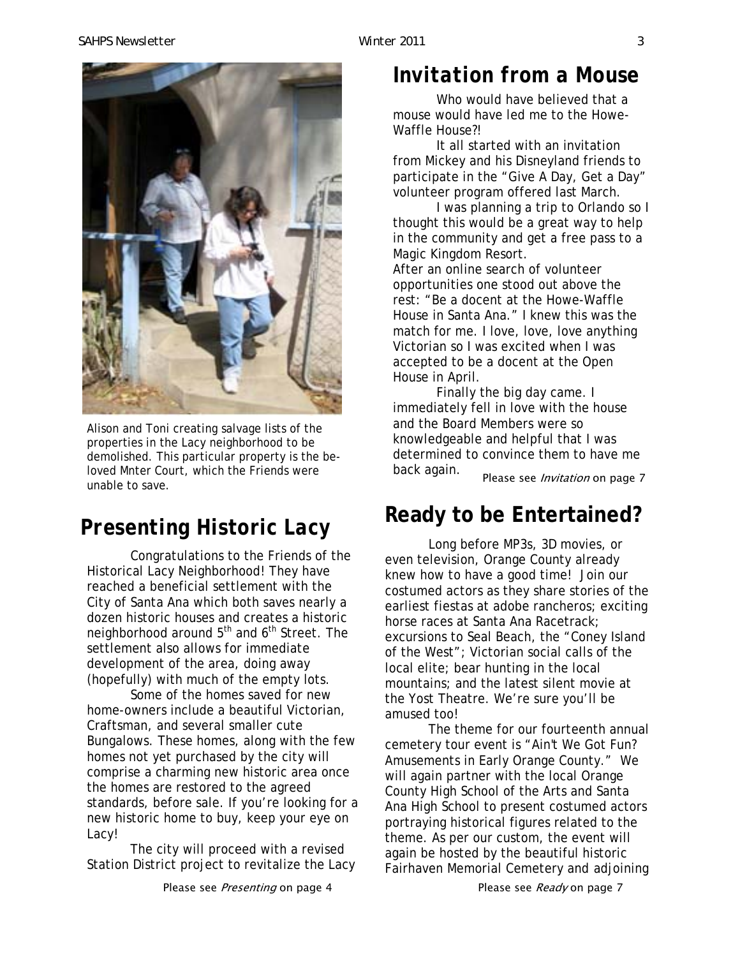# *Invitation from a Mouse*

Who would have believed that a mouse would have led me to the Howe-Waffle House?!

It all started with an invitation from Mickey and his Disneyland friends to participate in the "Give A Day, Get a Day" volunteer program offered last March.

I was planning a trip to Orlando so I thought this would be a great way to help in the community and get a free pass to a Magic Kingdom Resort.

After an online search of volunteer opportunities one stood out above the rest: "Be a docent at the Howe-Waffle House in Santa Ana." I knew this was the match for me. I love, love, love anything Victorian so I was excited when I was accepted to be a docent at the Open House in April.

Please see *Invitation* on page 7 Finally the big day came. I immediately fell in love with the house and the Board Members were so knowledgeable and helpful that I was determined to convince them to have me back again.

# **Ready to be Entertained?**

Long before MP3s, 3D movies, or even television, Orange County already knew how to have a good time! Join our costumed actors as they share stories of the earliest fiestas at adobe rancheros; exciting horse races at Santa Ana Racetrack; excursions to Seal Beach, the "Coney Island of the West"; Victorian social calls of the local elite; bear hunting in the local mountains; and the latest silent movie at the Yost Theatre. We're sure you'll be amused too!

The theme for our fourteenth annual cemetery tour event is "Ain't We Got Fun? Amusements in Early Orange County." We will again partner with the local Orange County High School of the Arts and Santa Ana High School to present costumed actors portraying historical figures related to the theme. As per our custom, the event will again be hosted by the beautiful historic Fairhaven Memorial Cemetery and adjoining

Please see *Presenting* on page 4 Please see Ready on page 7

properties in the Lacy neighborhood to be demolished. This particular property is the beloved Mnter Court, which the Friends were unable to save.

# *Presenting Historic Lacy*

Congratulations to the Friends of the Historical Lacy Neighborhood! They have reached a beneficial settlement with the City of Santa Ana which both saves nearly a dozen historic houses and creates a historic neighborhood around 5<sup>th</sup> and 6<sup>th</sup> Street. The settlement also allows for immediate development of the area, doing away (hopefully) with much of the empty lots.

Some of the homes saved for new home-owners include a beautiful Victorian, Craftsman, and several smaller cute Bungalows. These homes, along with the few homes not yet purchased by the city will comprise a charming new historic area once the homes are restored to the agreed standards, before sale. If you're looking for a new historic home to buy, keep your eye on Lacy!

The city will proceed with a revised Station District project to revitalize the Lacy

Alison and Toni creating salvage lists of the

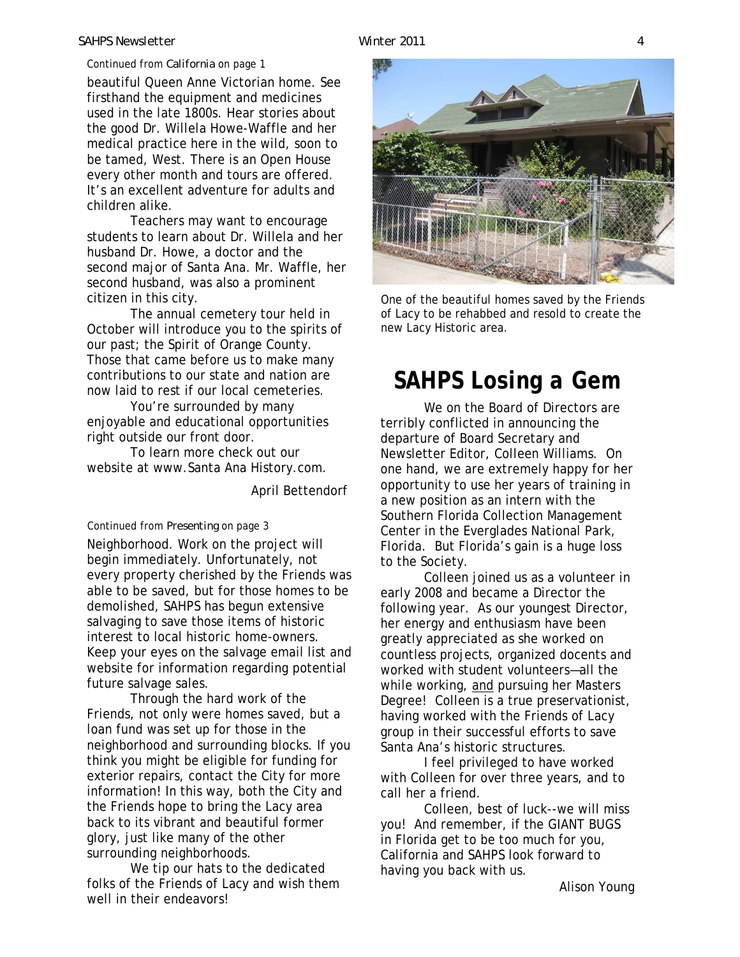#### *SAHPS Newsletter Winter 2011 4*

#### Continued from *California* on page 1

beautiful Queen Anne Victorian home. See used in the late 1800s. Hear stories about the good Dr. Willela Howe-Waffle and her every other month and tours are offered. firsthand the equipment and medicines medical practice here in the wild, soon to be tamed, West. There is an Open House It's an excellent adventure for adults and children alike.

Teachers may want to encourage students to learn about Dr. Willela and her husband Dr. Howe, a doctor and the second major of Santa Ana. Mr. Waffle, her second husband, was also a prominent citizen in this city.

The annual cemetery tour held in October will introduce you to the spirits of our past; the Spirit of Orange County. Those that came before us to make many contributions to our state and nation are now laid to rest if our local cemeteries.

You're surrounded by many enjoyable and educational opportunities right outside our front door.

To learn more check out our website at www.Santa Ana History.com.

April Bettendorf

#### Continued from *Presenting* on page 3

Neighborhood. Work on the project will begin immediately. Unfortunately, not every property cherished by the Friends was able to be saved, but for those homes to be demolished, SAHPS has begun extensive salvaging to save those items of historic interest to local historic home-owners. Keep your eyes on the salvage email list and website for information regarding potential future salvage sales.

Through the hard work of the Friends, not only were homes saved, but a loan fund was set up for those in the neighborhood and surrounding blocks. If you think you might be eligible for funding for exterior repairs, contact the City for more information! In this way, both the City and the Friends hope to bring the Lacy area back to its vibrant and beautiful former glory, just like many of the other surrounding neighborhoods.

We tip our hats to the dedicated folks of the Friends of Lacy and wish them well in their endeavors!



One of the beautiful homes saved by the Friends of Lacy to be rehabbed and resold to create the new Lacy Historic area.

## *SAHPS Losing a Gem*

We on the Board of Directors are terribly conflicted in announcing the departure of Board Secretary and Newsletter Editor, Colleen Williams. On one hand, we are extremely happy for her opportunity to use her years of training in a new position as an intern with the Southern Florida Collection Management Center in the Everglades National Park, Florida. But Florida's gain is a huge loss to the Society.

Colleen joined us as a volunteer in early 2008 and became a Director the following year. As our youngest Director, her energy and enthusiasm have been greatly appreciated as she worked on countless projects, organized docents and worked with student volunteers—all the while working, and pursuing her Masters Degree! Colleen is a true preservationist, having worked with the Friends of Lacy group in their successful efforts to save Santa Ana's historic structures.

I feel privileged to have worked with Colleen for over three years, and to call her a friend.

Colleen, best of luck--we will miss you! And remember, if the GIANT BUGS in Florida get to be too much for you, California and SAHPS look forward to having you back with us.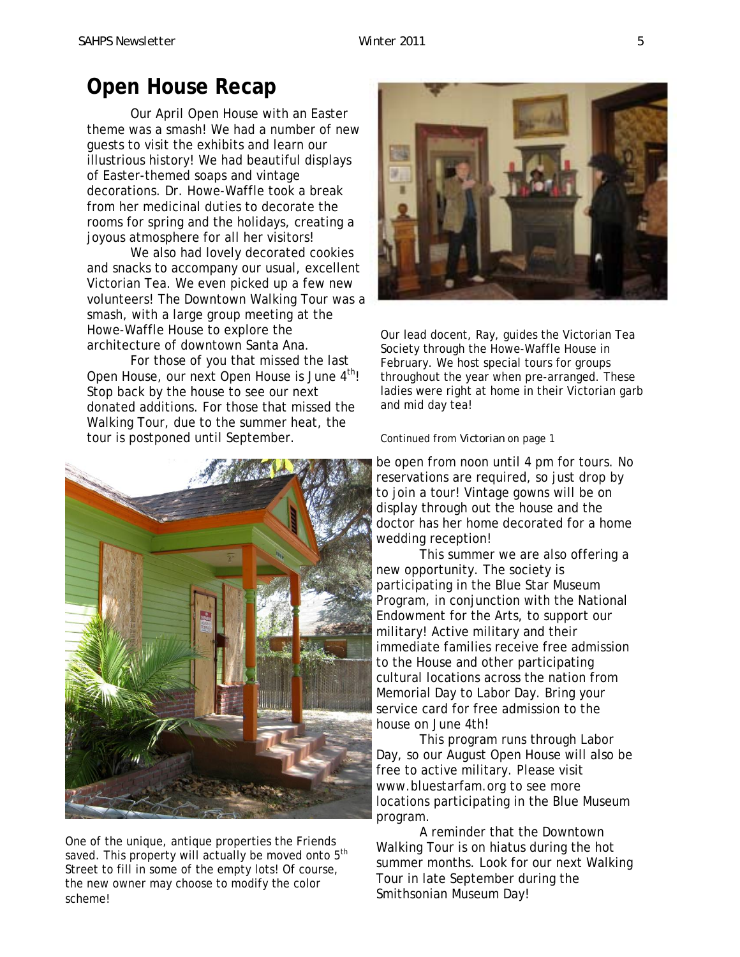### **Open House Recap**

Our April Open House with an Easter theme was a smash! We had a number of new guests to visit the exhibits and learn our illustrious history! We had beautiful displays of Easter-themed soaps and vintage decorations. Dr. Howe-Waffle took a break from her medicinal duties to decorate the rooms for spring and the holidays, creating a joyous atmosphere for all her visitors!

We also had lovely decorated cookies and snacks to accompany our usual, excellent Victorian Tea. We even picked up a few new volunteers! The Downtown Walking Tour was a smash, with a large group meeting at the Howe-Waffle House to explore the architecture of downtown Santa Ana.

For those of you that missed the last Open House, our next Open House is June 4<sup>th</sup>! Stop back by the house to see our next donated additions. For those that missed the Walking Tour, due to the summer heat, the tour is postponed until September.



One of the unique, antique properties the Friends saved. This property will actually be moved onto  $5<sup>th</sup>$ Street to fill in some of the empty lots! Of course, the new owner may choose to modify the color scheme!



Our lead docent, Ray, guides the Victorian Tea Society through the Howe-Waffle House in February. We host special tours for groups throughout the year when pre-arranged. These ladies were right at home in their Victorian garb and mid day tea!

#### Continued from *Victorian* on page 1

be open from noon until 4 pm for tours. No doctor has her home decorated for a home reservations are required, so just drop by to join a tour! Vintage gowns will be on display through out the house and the wedding reception!

This summer we are also offering a new opportunity. The society is participating in the Blue Star Museum Program, in conjunction with the National Endowment for the Arts, to support our military! Active military and their immediate families receive free admission to the House and other participating cultural locations across the nation from Memorial Day to Labor Day. Bring your service card for free admission to the house on June 4th!

This program runs through Labor Day, so our August Open House will also be free to active military. Please visit www.bluestarfam.org to see more locations participating in the Blue Museum program.

 A reminder that the Downtown Walking Tour is on hiatus during the hot summer months. Look for our next Walking Tour in late September during the Smithsonian Museum Day!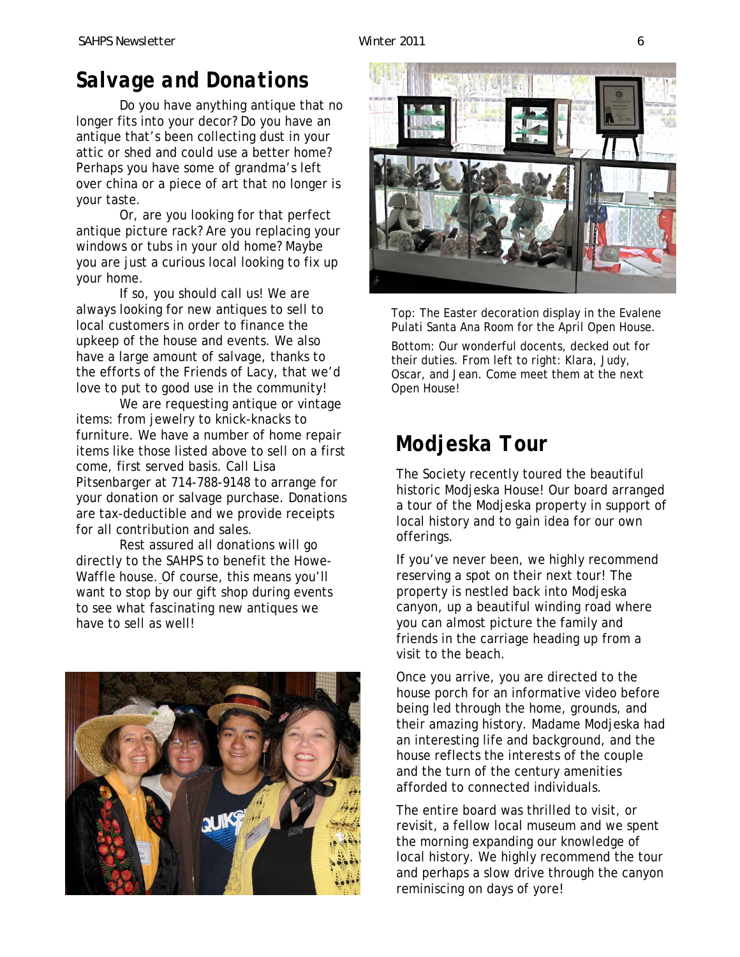# *Salvage and Donations*

Do you have anything antique that no longer fits into your decor? Do you have an antique that's been collecting dust in your attic or shed and could use a better home? Perhaps you have some of grandma's left over china or a piece of art that no longer is your taste.

Or, are you looking for that perfect antique picture rack? Are you replacing your windows or tubs in your old home? Maybe you are just a curious local looking to fix up your home.

If so, you should call us! We are always looking for new antiques to sell to local customers in order to finance the upkeep of the house and events. We also have a large amount of salvage, thanks to the efforts of the Friends of Lacy, that we'd love to put to good use in the community!

We are requesting antique or vintage items: from jewelry to knick-knacks to furniture. We have a number of home repair items like those listed above to sell on a first come, first served basis. Call Lisa Pitsenbarger at 714-788-9148 to arrange for your donation or salvage purchase. Donations are tax-deductible and we provide receipts for all contribution and sales.

Rest assured all donations will go directly to the SAHPS to benefit the Howe-Waffle house. Of course, this means you'll want to stop by our gift shop during events to see what fascinating new antiques we have to sell as well!





Top: The Easter decoration display in the Evalene Pulati Santa Ana Room for the April Open House.

Bottom: Our wonderful docents, decked out for their duties. From left to right: Klara, Judy, Oscar, and Jean. Come meet them at the next Open House!

# *Modjeska Tour*

The Society recently toured the beautiful historic Modjeska House! Our board arranged a tour of the Modjeska property in support of local history and to gain idea for our own offerings.

If you've never been, we highly recommend reserving a spot on their next tour! The property is nestled back into Modjeska canyon, up a beautiful winding road where you can almost picture the family and friends in the carriage heading up from a visit to the beach.

Once you arrive, you are directed to the house porch for an informative video before being led through the home, grounds, and their amazing history. Madame Modjeska had an interesting life and background, and the house reflects the interests of the couple and the turn of the century amenities afforded to connected individuals.

The entire board was thrilled to visit, or revisit, a fellow local museum and we spent the morning expanding our knowledge of local history. We highly recommend the tour and perhaps a slow drive through the canyon reminiscing on days of yore!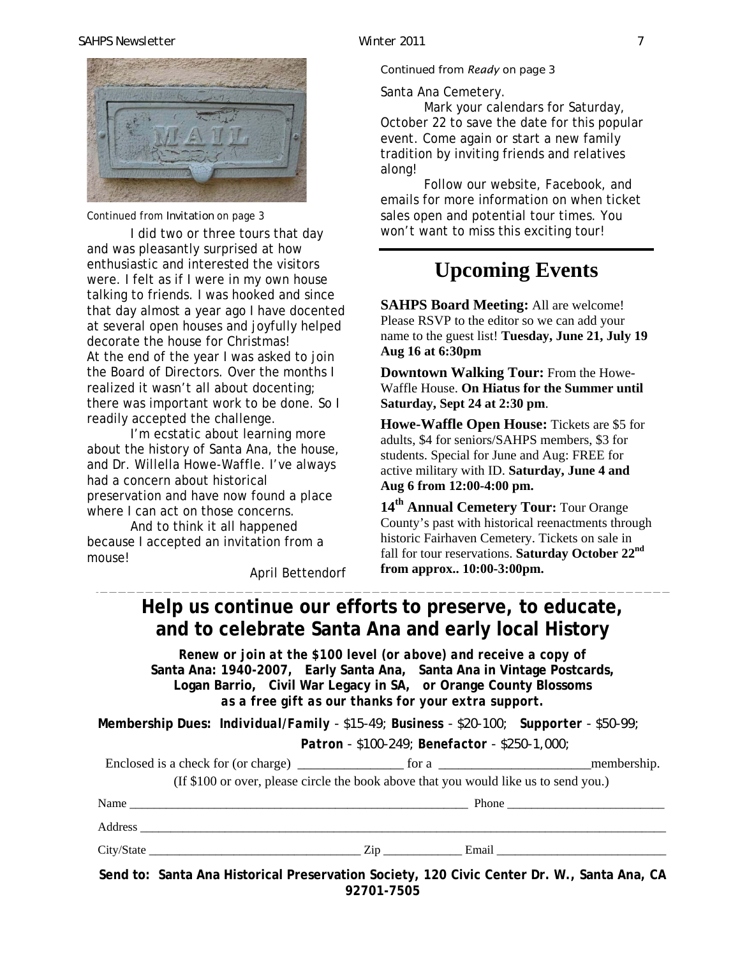#### *SAHPS Newsletter Winter 2011 7*



Continued from *Invitation* on page 3

I did two or three tours that day and was pleasantly surprised at how enthusiastic and interested the visitors were. I felt as if I were in my own house talking to friends. I was hooked and since that day almost a year ago I have docented at several open houses and joyfully helped decorate the house for Christmas! At the end of the year I was asked to join the Board of Directors. Over the months I realized it wasn't all about docenting; there was important work to be done. So I readily accepted the challenge.

I'm ecstatic about learning more about the history of Santa Ana, the house, and Dr. Willella Howe-Waffle. I've always had a concern about historical preservation and have now found a place where I can act on those concerns.

And to think it all happened because I accepted an invitation from a mouse!

April Bettendorf

Continued from *Ready* on page 3

Santa A na Cemetery.

Mark your calendars for Saturday, October 22 to save the date for this popular event. Come again or start a new family tradition by inviting friends and relatives along!

Follow our website, Facebook, and emails for more information on when ticket sales open and potential tour times. You won't want to miss this exciting tour!

### **Upcoming Events**

**SAHPS Board Meeting:** All are welcome! Please RSVP to the editor so we can add your name to the guest list! **Tuesday, June 21, July 19 Aug 16 at 6:30pm**

**Downtown Walking Tour:** From the Howe-Waffle House. **On Hiatus for the Summer until Saturday, Sept 24 at 2:30 pm**.

**Howe-Waffle Open House:** Tickets are \$5 for adults, \$4 for seniors/SAHPS members, \$3 for students. Special for June and Aug: FREE for active military with ID. **Saturday, June 4 and Aug 6 from 12:00-4:00 pm.** 

14<sup>th</sup> Annual Cemetery Tour: Tour Orange County's past with historical reenactments through historic Fairhaven Cemetery. Tickets on sale in fall for tour reservations. **Saturday October 22nd from approx.. 10:00-3:00pm.** 

### **Help us continue our efforts to preserve, to educate, and to celebrate Santa Ana and early local History**

*Renew or join at the \$100 level (or above) and receive a copy of*  **Santa Ana: 1940-2007***,* **Early Santa Ana, Santa Ana in Vintage Postcards, Logan Barrio, Civil War Legacy in SA,** *or* **Orange County Blossoms** *as a free gift as our thanks for your extra support.* 

**Membership Dues:** *Individual/Family - \$15-49; Business - \$20-100; Supporter - \$50-99; Patron - \$100-249; Benefactor - \$250-1,000;* 

| Enclosed is a check for (or charge) | tor a                                                                                | membership. |
|-------------------------------------|--------------------------------------------------------------------------------------|-------------|
|                                     | (If \$100 or over, please circle the book above that you would like us to send you.) |             |

| Name       |     | Phone |
|------------|-----|-------|
| Address    |     |       |
| City/State | Zin | Email |

**Send to: Santa Ana Historical Preservation Society, 120 Civic Center Dr. W., Santa Ana, CA 92701-7505**